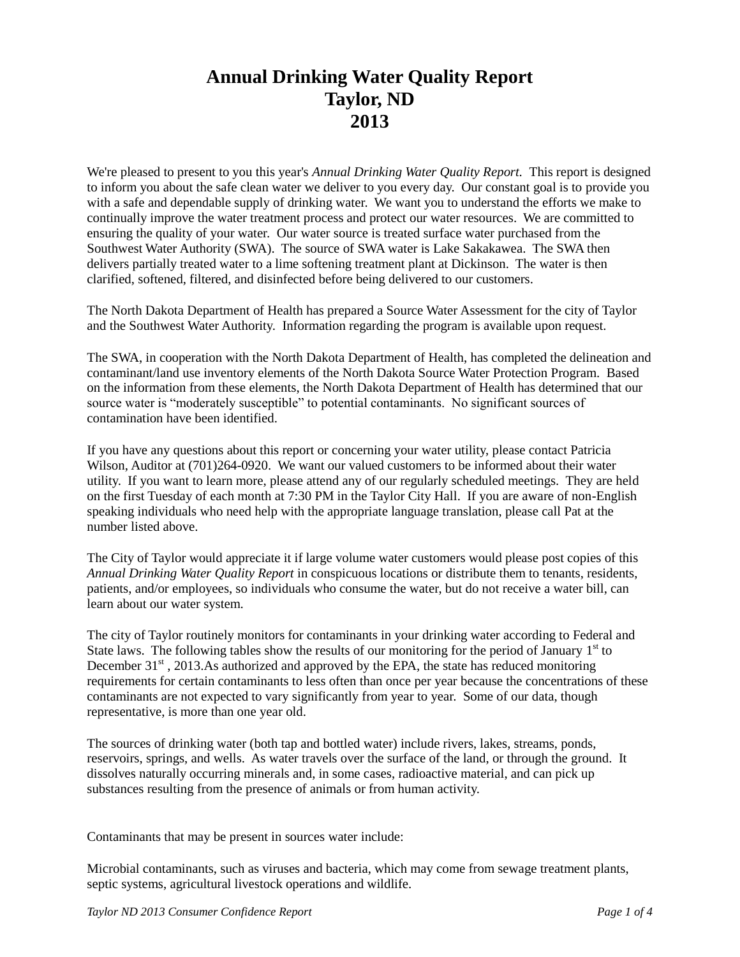## **Annual Drinking Water Quality Report Taylor, ND 2013**

We're pleased to present to you this year's *Annual Drinking Water Quality Report.* This report is designed to inform you about the safe clean water we deliver to you every day. Our constant goal is to provide you with a safe and dependable supply of drinking water. We want you to understand the efforts we make to continually improve the water treatment process and protect our water resources. We are committed to ensuring the quality of your water. Our water source is treated surface water purchased from the Southwest Water Authority (SWA). The source of SWA water is Lake Sakakawea. The SWA then delivers partially treated water to a lime softening treatment plant at Dickinson. The water is then clarified, softened, filtered, and disinfected before being delivered to our customers.

The North Dakota Department of Health has prepared a Source Water Assessment for the city of Taylor and the Southwest Water Authority. Information regarding the program is available upon request.

The SWA, in cooperation with the North Dakota Department of Health, has completed the delineation and contaminant/land use inventory elements of the North Dakota Source Water Protection Program. Based on the information from these elements, the North Dakota Department of Health has determined that our source water is "moderately susceptible" to potential contaminants. No significant sources of contamination have been identified.

If you have any questions about this report or concerning your water utility, please contact Patricia Wilson, Auditor at (701)264-0920. We want our valued customers to be informed about their water utility. If you want to learn more, please attend any of our regularly scheduled meetings. They are held on the first Tuesday of each month at 7:30 PM in the Taylor City Hall. If you are aware of non-English speaking individuals who need help with the appropriate language translation, please call Pat at the number listed above.

The City of Taylor would appreciate it if large volume water customers would please post copies of this *Annual Drinking Water Quality Report* in conspicuous locations or distribute them to tenants, residents, patients, and/or employees, so individuals who consume the water, but do not receive a water bill, can learn about our water system.

The city of Taylor routinely monitors for contaminants in your drinking water according to Federal and State laws. The following tables show the results of our monitoring for the period of January  $1<sup>st</sup>$  to December  $31<sup>st</sup>$ , 2013.As authorized and approved by the EPA, the state has reduced monitoring requirements for certain contaminants to less often than once per year because the concentrations of these contaminants are not expected to vary significantly from year to year. Some of our data, though representative, is more than one year old.

The sources of drinking water (both tap and bottled water) include rivers, lakes, streams, ponds, reservoirs, springs, and wells. As water travels over the surface of the land, or through the ground. It dissolves naturally occurring minerals and, in some cases, radioactive material, and can pick up substances resulting from the presence of animals or from human activity.

Contaminants that may be present in sources water include:

Microbial contaminants, such as viruses and bacteria, which may come from sewage treatment plants, septic systems, agricultural livestock operations and wildlife.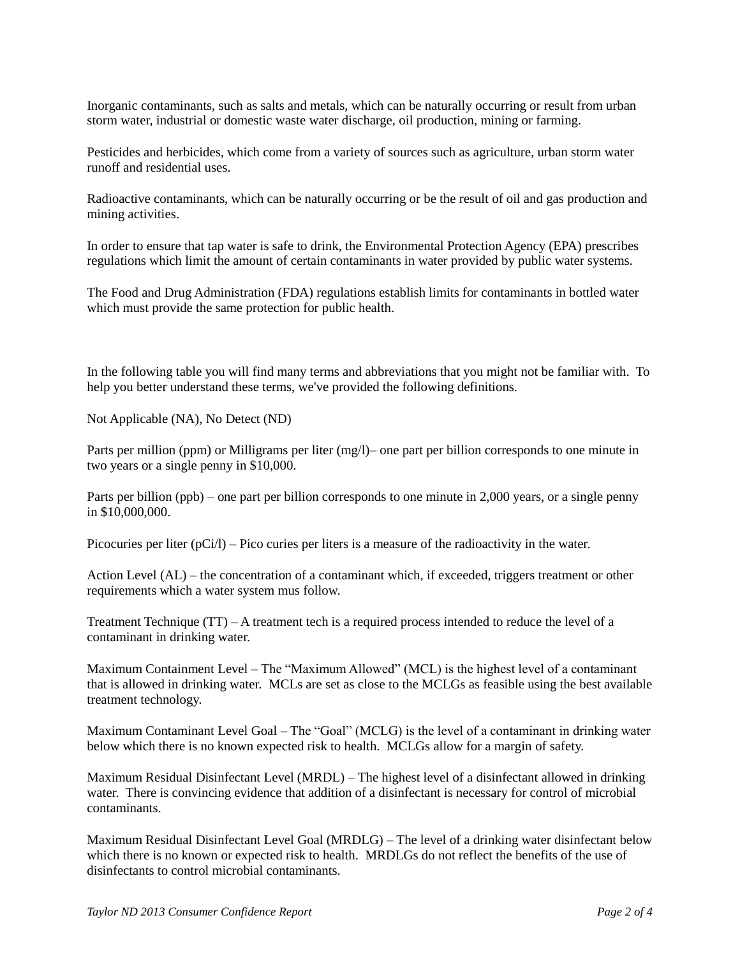Inorganic contaminants, such as salts and metals, which can be naturally occurring or result from urban storm water, industrial or domestic waste water discharge, oil production, mining or farming.

Pesticides and herbicides, which come from a variety of sources such as agriculture, urban storm water runoff and residential uses.

Radioactive contaminants, which can be naturally occurring or be the result of oil and gas production and mining activities.

In order to ensure that tap water is safe to drink, the Environmental Protection Agency (EPA) prescribes regulations which limit the amount of certain contaminants in water provided by public water systems.

The Food and Drug Administration (FDA) regulations establish limits for contaminants in bottled water which must provide the same protection for public health.

In the following table you will find many terms and abbreviations that you might not be familiar with. To help you better understand these terms, we've provided the following definitions.

Not Applicable (NA), No Detect (ND)

Parts per million (ppm) or Milligrams per liter (mg/l)– one part per billion corresponds to one minute in two years or a single penny in \$10,000.

Parts per billion (ppb) – one part per billion corresponds to one minute in 2,000 years, or a single penny in \$10,000,000.

Picocuries per liter (pCi/l) – Pico curies per liters is a measure of the radioactivity in the water.

Action Level (AL) – the concentration of a contaminant which, if exceeded, triggers treatment or other requirements which a water system mus follow.

Treatment Technique (TT) – A treatment tech is a required process intended to reduce the level of a contaminant in drinking water.

Maximum Containment Level – The "Maximum Allowed" (MCL) is the highest level of a contaminant that is allowed in drinking water. MCLs are set as close to the MCLGs as feasible using the best available treatment technology.

Maximum Contaminant Level Goal – The "Goal" (MCLG) is the level of a contaminant in drinking water below which there is no known expected risk to health. MCLGs allow for a margin of safety.

Maximum Residual Disinfectant Level (MRDL) – The highest level of a disinfectant allowed in drinking water. There is convincing evidence that addition of a disinfectant is necessary for control of microbial contaminants.

Maximum Residual Disinfectant Level Goal (MRDLG) – The level of a drinking water disinfectant below which there is no known or expected risk to health. MRDLGs do not reflect the benefits of the use of disinfectants to control microbial contaminants.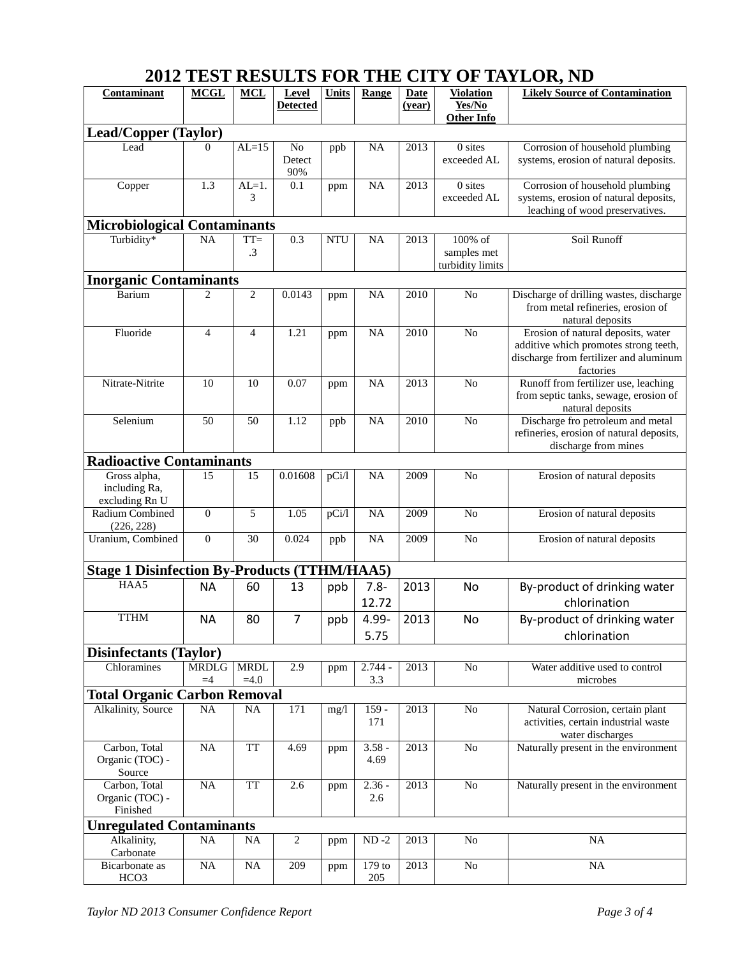## **2012 TEST RESULTS FOR THE CITY OF TAYLOR, ND**

| Contaminant                                         | <b>MCGL</b>          | <b>MCL</b>            | Level<br><b>Detected</b> | Units      | Range            | <b>Date</b><br>(year) | <b>Violation</b><br>Yes/No<br><b>Other Info</b> | <b>Likely Source of Contamination</b>                                                                                              |
|-----------------------------------------------------|----------------------|-----------------------|--------------------------|------------|------------------|-----------------------|-------------------------------------------------|------------------------------------------------------------------------------------------------------------------------------------|
| <b>Lead/Copper (Taylor)</b>                         |                      |                       |                          |            |                  |                       |                                                 |                                                                                                                                    |
| Lead                                                | $\Omega$             | $AL=15$               | No<br>Detect<br>90%      | ppb        | <b>NA</b>        | 2013                  | 0 sites<br>exceeded AL                          | Corrosion of household plumbing<br>systems, erosion of natural deposits.                                                           |
| Copper                                              | 1.3                  | $AL=1$ .<br>3         | 0.1                      | ppm        | <b>NA</b>        | 2013                  | 0 sites<br>exceeded AL                          | Corrosion of household plumbing<br>systems, erosion of natural deposits,<br>leaching of wood preservatives.                        |
| <b>Microbiological Contaminants</b><br>Turbidity*   | NA                   | $TT =$<br>.3          | 0.3                      | <b>NTU</b> | <b>NA</b>        | 2013                  | 100% of<br>samples met<br>turbidity limits      | Soil Runoff                                                                                                                        |
| <b>Inorganic Contaminants</b>                       |                      |                       |                          |            |                  |                       |                                                 |                                                                                                                                    |
| Barium                                              | $\overline{2}$       | $\overline{c}$        | 0.0143                   | ppm        | NA               | 2010                  | No                                              | Discharge of drilling wastes, discharge<br>from metal refineries, erosion of<br>natural deposits                                   |
| Fluoride                                            | $\overline{4}$       | $\overline{4}$        | 1.21                     | ppm        | <b>NA</b>        | 2010                  | No                                              | Erosion of natural deposits, water<br>additive which promotes strong teeth,<br>discharge from fertilizer and aluminum<br>factories |
| Nitrate-Nitrite                                     | 10                   | 10                    | 0.07                     | ppm        | <b>NA</b>        | 2013                  | N <sub>o</sub>                                  | Runoff from fertilizer use, leaching<br>from septic tanks, sewage, erosion of<br>natural deposits                                  |
| Selenium                                            | 50                   | 50                    | 1.12                     | ppb        | <b>NA</b>        | 2010                  | No                                              | Discharge fro petroleum and metal<br>refineries, erosion of natural deposits,<br>discharge from mines                              |
| <b>Radioactive Contaminants</b>                     |                      |                       |                          |            |                  |                       |                                                 |                                                                                                                                    |
| Gross alpha,<br>including Ra,<br>excluding Rn U     | 15                   | 15                    | 0.01608                  | pCi/l      | <b>NA</b>        | 2009                  | N <sub>o</sub>                                  | Erosion of natural deposits                                                                                                        |
| Radium Combined<br>(226, 228)                       | $\overline{0}$       | 5                     | 1.05                     | pCi/l      | <b>NA</b>        | 2009                  | N <sub>o</sub>                                  | Erosion of natural deposits                                                                                                        |
| Uranium, Combined                                   | $\overline{0}$       | 30                    | 0.024                    | ppb        | <b>NA</b>        | 2009                  | No                                              | Erosion of natural deposits                                                                                                        |
| <b>Stage 1 Disinfection By-Products (TTHM/HAA5)</b> |                      |                       |                          |            |                  |                       |                                                 |                                                                                                                                    |
| HAA5                                                | <b>NA</b>            | 60                    | 13                       | ppb        | $7.8 -$<br>12.72 | 2013                  | No                                              | By-product of drinking water<br>chlorination                                                                                       |
| <b>TTHM</b>                                         | <b>NA</b>            | 80                    | $\overline{7}$           | ppb        | 4.99-<br>5.75    | 2013                  | No                                              | By-product of drinking water<br>chlorination                                                                                       |
| <b>Disinfectants (Taylor)</b>                       |                      |                       |                          |            |                  |                       |                                                 |                                                                                                                                    |
| Chloramines                                         | <b>MRDLG</b><br>$=4$ | <b>MRDL</b><br>$=4.0$ | 2.9                      | ppm        | $2.744 -$<br>3.3 | 2013                  | N <sub>o</sub>                                  | Water additive used to control<br>microbes                                                                                         |
| <b>Total Organic Carbon Removal</b>                 |                      |                       |                          |            |                  |                       |                                                 |                                                                                                                                    |
| Alkalinity, Source                                  | <b>NA</b>            | <b>NA</b>             | 171                      | mg/1       | $159 -$<br>171   | 2013                  | N <sub>o</sub>                                  | Natural Corrosion, certain plant<br>activities, certain industrial waste<br>water discharges                                       |
| Carbon, Total<br>Organic (TOC) -<br>Source          | NA                   | <b>TT</b>             | 4.69                     | ppm        | $3.58 -$<br>4.69 | 2013                  | No                                              | Naturally present in the environment                                                                                               |
| Carbon, Total<br>Organic (TOC) -<br>Finished        | NA                   | <b>TT</b>             | 2.6                      | ppm        | $2.36 -$<br>2.6  | 2013                  | N <sub>o</sub>                                  | Naturally present in the environment                                                                                               |
| <b>Unregulated Contaminants</b>                     |                      |                       |                          |            |                  |                       |                                                 |                                                                                                                                    |
| Alkalinity,<br>Carbonate                            | NA                   | <b>NA</b>             | $\boldsymbol{2}$         | ppm        | $ND -2$          | 2013                  | N <sub>o</sub>                                  | NA                                                                                                                                 |
| Bicarbonate as<br>HCO <sub>3</sub>                  | $\rm NA$             | NA                    | 209                      | ppm        | 179 to<br>205    | 2013                  | $\rm No$                                        | NA                                                                                                                                 |